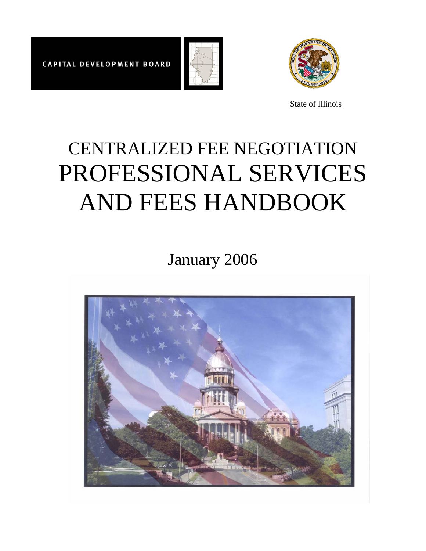



State of Illinois

# CENTRALIZED FEE NEGOTIATION PROFESSIONAL SERVICES AND FEES HANDBOOK

January 2006

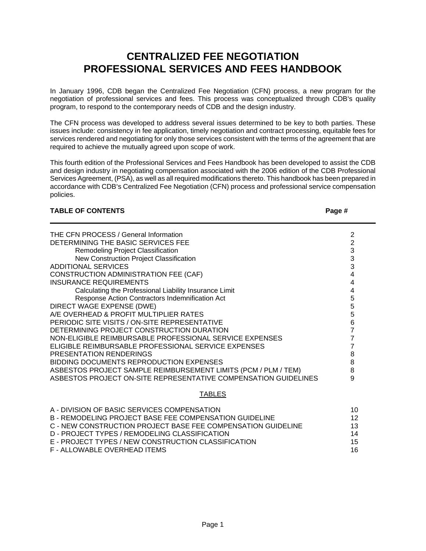# **CENTRALIZED FEE NEGOTIATION PROFESSIONAL SERVICES AND FEES HANDBOOK**

In January 1996, CDB began the Centralized Fee Negotiation (CFN) process, a new program for the negotiation of professional services and fees. This process was conceptualized through CDB's quality program, to respond to the contemporary needs of CDB and the design industry.

The CFN process was developed to address several issues determined to be key to both parties. These issues include: consistency in fee application, timely negotiation and contract processing, equitable fees for services rendered and negotiating for only those services consistent with the terms of the agreement that are required to achieve the mutually agreed upon scope of work.

This fourth edition of the Professional Services and Fees Handbook has been developed to assist the CDB and design industry in negotiating compensation associated with the 2006 edition of the CDB Professional Services Agreement, (PSA), as well as all required modifications thereto. This handbook has been prepared in accordance with CDB's Centralized Fee Negotiation (CFN) process and professional service compensation policies.

## **TABLE OF CONTENTS**

| ×<br>٠ |  |
|--------|--|
|--------|--|

| THE CFN PROCESS / General Information                           |   |
|-----------------------------------------------------------------|---|
| DETERMINING THE BASIC SERVICES FEE                              |   |
| Remodeling Project Classification                               | 3 |
| New Construction Project Classification                         | 3 |
| ADDITIONAL SERVICES                                             | 3 |
| CONSTRUCTION ADMINISTRATION FEE (CAF)                           |   |
| <b>INSURANCE REQUIREMENTS</b>                                   |   |
| Calculating the Professional Liability Insurance Limit          |   |
| Response Action Contractors Indemnification Act                 | 5 |
| DIRECT WAGE EXPENSE (DWE)                                       | 5 |
| A/E OVERHEAD & PROFIT MULTIPLIER RATES                          | 5 |
| PERIODIC SITE VISITS / ON-SITE REPRESENTATIVE                   | 6 |
| DETERMINING PROJECT CONSTRUCTION DURATION                       |   |
| NON-ELIGIBLE REIMBURSABLE PROFESSIONAL SERVICE EXPENSES         |   |
| ELIGIBLE REIMBURSABLE PROFESSIONAL SERVICE EXPENSES             |   |
| PRESENTATION RENDERINGS                                         | 8 |
| BIDDING DOCUMENTS REPRODUCTION EXPENSES                         | 8 |
| ASBESTOS PROJECT SAMPLE REIMBURSEMENT LIMITS (PCM / PLM / TEM)  | 8 |
| ASBESTOS PROJECT ON-SITE REPRESENTATIVE COMPENSATION GUIDELINES | 9 |
|                                                                 |   |

## TABLES

| A - DIVISION OF BASIC SERVICES COMPENSATION                  | 10. |
|--------------------------------------------------------------|-----|
| B - REMODELING PROJECT BASE FEE COMPENSATION GUIDELINE       | 12. |
| C - NEW CONSTRUCTION PROJECT BASE FEE COMPENSATION GUIDELINE | 13. |
| D - PROJECT TYPES / REMODELING CLASSIFICATION                | 14  |
| E - PROJECT TYPES / NEW CONSTRUCTION CLASSIFICATION          | 15  |
| F - ALLOWABLE OVERHEAD ITEMS                                 | 16. |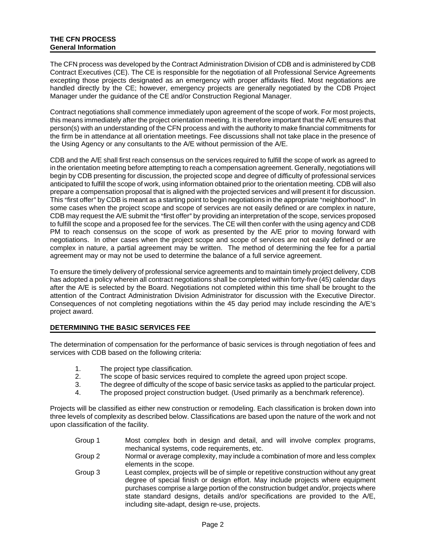The CFN process was developed by the Contract Administration Division of CDB and is administered by CDB Contract Executives (CE). The CE is responsible for the negotiation of all Professional Service Agreements excepting those projects designated as an emergency with proper affidavits filed. Most negotiations are handled directly by the CE; however, emergency projects are generally negotiated by the CDB Project Manager under the guidance of the CE and/or Construction Regional Manager.

Contract negotiations shall commence immediately upon agreement of the scope of work. For most projects, this means immediately after the project orientation meeting. It is therefore important that the A/E ensures that person(s) with an understanding of the CFN process and with the authority to make financial commitments for the firm be in attendance at all orientation meetings. Fee discussions shall not take place in the presence of the Using Agency or any consultants to the A/E without permission of the A/E.

CDB and the A/E shall first reach consensus on the services required to fulfill the scope of work as agreed to in the orientation meeting before attempting to reach a compensation agreement. Generally, negotiations will begin by CDB presenting for discussion, the projected scope and degree of difficulty of professional services anticipated to fulfill the scope of work, using information obtained prior to the orientation meeting. CDB will also prepare a compensation proposal that is aligned with the projected services and will present it for discussion. This "first offer" by CDB is meant as a starting point to begin negotiations in the appropriate "neighborhood". In some cases when the project scope and scope of services are not easily defined or are complex in nature, CDB may request the A/E submit the "first offer" by providing an interpretation of the scope, services proposed to fulfill the scope and a proposed fee for the services. The CE will then confer with the using agency and CDB PM to reach consensus on the scope of work as presented by the A/E prior to moving forward with negotiations. In other cases when the project scope and scope of services are not easily defined or are complex in nature, a partial agreement may be written. The method of determining the fee for a partial agreement may or may not be used to determine the balance of a full service agreement.

To ensure the timely delivery of professional service agreements and to maintain timely project delivery, CDB has adopted a policy wherein all contract negotiations shall be completed within forty-five (45) calendar days after the A/E is selected by the Board. Negotiations not completed within this time shall be brought to the attention of the Contract Administration Division Administrator for discussion with the Executive Director. Consequences of not completing negotiations within the 45 day period may include rescinding the A/E's project award.

#### **DETERMINING THE BASIC SERVICES FEE**

The determination of compensation for the performance of basic services is through negotiation of fees and services with CDB based on the following criteria:

- 1. The project type classification.
- 2. The scope of basic services required to complete the agreed upon project scope.
- 3. The degree of difficulty of the scope of basic service tasks as applied to the particular project.
- 4. The proposed project construction budget. (Used primarily as a benchmark reference).

Projects will be classified as either new construction or remodeling. Each classification is broken down into three levels of complexity as described below. Classifications are based upon the nature of the work and not upon classification of the facility.

- Group 1 Most complex both in design and detail, and will involve complex programs, mechanical systems, code requirements, etc.
- Group 2 Normal or average complexity, may include a combination of more and less complex elements in the scope.
- Group 3 Least complex, projects will be of simple or repetitive construction without any great degree of special finish or design effort. May include projects where equipment purchases comprise a large portion of the construction budget and/or, projects where state standard designs, details and/or specifications are provided to the A/E, including site-adapt, design re-use, projects.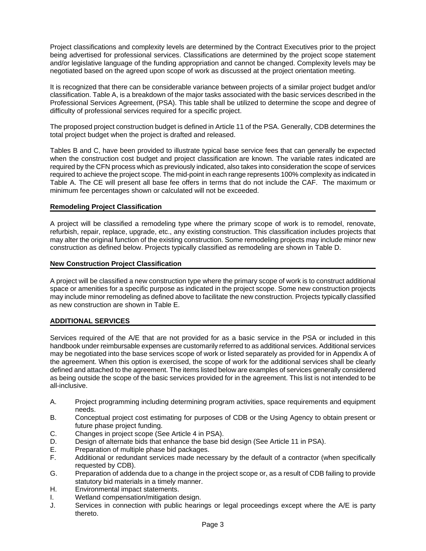Project classifications and complexity levels are determined by the Contract Executives prior to the project being advertised for professional services. Classifications are determined by the project scope statement and/or legislative language of the funding appropriation and cannot be changed. Complexity levels may be negotiated based on the agreed upon scope of work as discussed at the project orientation meeting.

It is recognized that there can be considerable variance between projects of a similar project budget and/or classification. Table A, is a breakdown of the major tasks associated with the basic services described in the Professional Services Agreement, (PSA). This table shall be utilized to determine the scope and degree of difficulty of professional services required for a specific project.

The proposed project construction budget is defined in Article 11 of the PSA. Generally, CDB determines the total project budget when the project is drafted and released.

Tables B and C, have been provided to illustrate typical base service fees that can generally be expected when the construction cost budget and project classification are known. The variable rates indicated are required by the CFN process which as previously indicated, also takes into consideration the scope of services required to achieve the project scope. The mid-point in each range represents 100% complexity as indicated in Table A. The CE will present all base fee offers in terms that do not include the CAF. The maximum or minimum fee percentages shown or calculated will not be exceeded.

#### **Remodeling Project Classification**

A project will be classified a remodeling type where the primary scope of work is to remodel, renovate, refurbish, repair, replace, upgrade, etc., any existing construction. This classification includes projects that may alter the original function of the existing construction. Some remodeling projects may include minor new construction as defined below. Projects typically classified as remodeling are shown in Table D.

#### **New Construction Project Classification**

A project will be classified a new construction type where the primary scope of work is to construct additional space or amenities for a specific purpose as indicated in the project scope. Some new construction projects may include minor remodeling as defined above to facilitate the new construction. Projects typically classified as new construction are shown in Table E.

#### **ADDITIONAL SERVICES**

Services required of the A/E that are not provided for as a basic service in the PSA or included in this handbook under reimbursable expenses are customarily referred to as additional services. Additional services may be negotiated into the base services scope of work or listed separately as provided for in Appendix A of the agreement. When this option is exercised, the scope of work for the additional services shall be clearly defined and attached to the agreement. The items listed below are examples of services generally considered as being outside the scope of the basic services provided for in the agreement. This list is not intended to be all-inclusive.

- A. Project programming including determining program activities, space requirements and equipment needs.
- B. Conceptual project cost estimating for purposes of CDB or the Using Agency to obtain present or future phase project funding.
- C. Changes in project scope (See Article 4 in PSA).
- D. Design of alternate bids that enhance the base bid design (See Article 11 in PSA).
- E. Preparation of multiple phase bid packages.
- F. Additional or redundant services made necessary by the default of a contractor (when specifically requested by CDB).
- G. Preparation of addenda due to a change in the project scope or, as a result of CDB failing to provide statutory bid materials in a timely manner.
- H. Environmental impact statements.
- I. Wetland compensation/mitigation design.
- J. Services in connection with public hearings or legal proceedings except where the A/E is party thereto.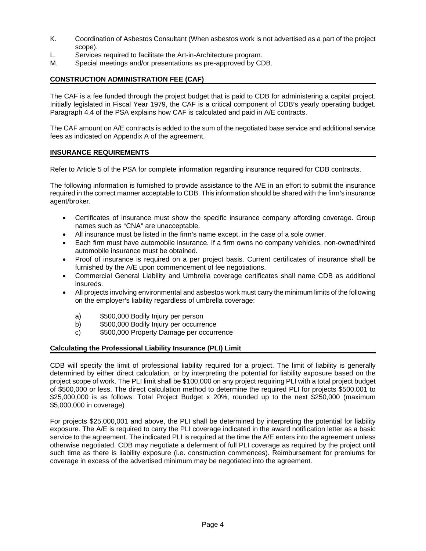- K. Coordination of Asbestos Consultant (When asbestos work is not advertised as a part of the project scope).
- L. Services required to facilitate the Art-in-Architecture program.
- M. Special meetings and/or presentations as pre-approved by CDB.

#### **CONSTRUCTION ADMINISTRATION FEE (CAF)**

The CAF is a fee funded through the project budget that is paid to CDB for administering a capital project. Initially legislated in Fiscal Year 1979, the CAF is a critical component of CDB's yearly operating budget. Paragraph 4.4 of the PSA explains how CAF is calculated and paid in A/E contracts.

The CAF amount on A/E contracts is added to the sum of the negotiated base service and additional service fees as indicated on Appendix A of the agreement.

#### **INSURANCE REQUIREMENTS**

Refer to Article 5 of the PSA for complete information regarding insurance required for CDB contracts.

The following information is furnished to provide assistance to the A/E in an effort to submit the insurance required in the correct manner acceptable to CDB. This information should be shared with the firm's insurance agent/broker.

- Certificates of insurance must show the specific insurance company affording coverage. Group names such as "CNA" are unacceptable.
- All insurance must be listed in the firm's name except, in the case of a sole owner.
- Each firm must have automobile insurance. If a firm owns no company vehicles, non-owned/hired automobile insurance must be obtained.
- Proof of insurance is required on a per project basis. Current certificates of insurance shall be furnished by the A/E upon commencement of fee negotiations.
- Commercial General Liability and Umbrella coverage certificates shall name CDB as additional insureds.
- All projects involving environmental and asbestos work must carry the minimum limits of the following on the employer's liability regardless of umbrella coverage:
	- a) \$500,000 Bodily Injury per person
	- b) \$500,000 Bodily Injury per occurrence
	- c) \$500,000 Property Damage per occurrence

#### **Calculating the Professional Liability Insurance (PLI) Limit**

CDB will specify the limit of professional liability required for a project. The limit of liability is generally determined by either direct calculation, or by interpreting the potential for liability exposure based on the project scope of work. The PLI limit shall be \$100,000 on any project requiring PLI with a total project budget of \$500,000 or less. The direct calculation method to determine the required PLI for projects \$500,001 to \$25,000,000 is as follows: Total Project Budget x 20%, rounded up to the next \$250,000 (maximum \$5,000,000 in coverage)

For projects \$25,000,001 and above, the PLI shall be determined by interpreting the potential for liability exposure. The A/E is required to carry the PLI coverage indicated in the award notification letter as a basic service to the agreement. The indicated PLI is required at the time the A/E enters into the agreement unless otherwise negotiated. CDB may negotiate a deferment of full PLI coverage as required by the project until such time as there is liability exposure (i.e. construction commences). Reimbursement for premiums for coverage in excess of the advertised minimum may be negotiated into the agreement.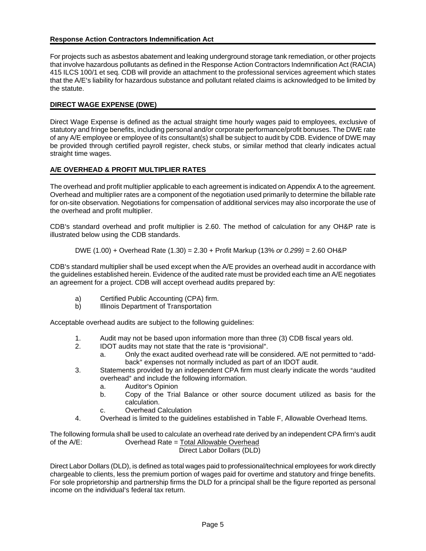#### **Response Action Contractors Indemnification Act**

For projects such as asbestos abatement and leaking underground storage tank remediation, or other projects that involve hazardous pollutants as defined in the Response Action Contractors Indemnification Act (RACIA) 415 ILCS 100/1 et seq. CDB will provide an attachment to the professional services agreement which states that the A/E's liability for hazardous substance and pollutant related claims is acknowledged to be limited by the statute.

#### **DIRECT WAGE EXPENSE (DWE)**

Direct Wage Expense is defined as the actual straight time hourly wages paid to employees, exclusive of statutory and fringe benefits, including personal and/or corporate performance/profit bonuses. The DWE rate of any A/E employee or employee of its consultant(s) shall be subject to audit by CDB. Evidence of DWE may be provided through certified payroll register, check stubs, or similar method that clearly indicates actual straight time wages.

## **A/E OVERHEAD & PROFIT MULTIPLIER RATES**

The overhead and profit multiplier applicable to each agreement is indicated on Appendix A to the agreement. Overhead and multiplier rates are a component of the negotiation used primarily to determine the billable rate for on-site observation. Negotiations for compensation of additional services may also incorporate the use of the overhead and profit multiplier.

CDB's standard overhead and profit multiplier is 2.60. The method of calculation for any OH&P rate is illustrated below using the CDB standards.

#### DWE (1.00) + Overhead Rate (1.30) = 2.30 + Profit Markup (13% *or 0.299)* = 2.60 OH&P

CDB's standard multiplier shall be used except when the A/E provides an overhead audit in accordance with the guidelines established herein. Evidence of the audited rate must be provided each time an A/E negotiates an agreement for a project. CDB will accept overhead audits prepared by:

- a) Certified Public Accounting (CPA) firm.
- b) Illinois Department of Transportation

Acceptable overhead audits are subject to the following guidelines:

- 1. Audit may not be based upon information more than three (3) CDB fiscal years old.
- 2. IDOT audits may not state that the rate is "provisional".
	- a. Chiv the exact audited overhead rate will be considered. A/E not permitted to "addback" expenses not normally included as part of an IDOT audit.
- 3. Statements provided by an independent CPA firm must clearly indicate the words "audited" overhead" and include the following information.
	- a. Auditor's Opinion
	- b. Copy of the Trial Balance or other source document utilized as basis for the calculation.
	- c. Overhead Calculation
- 4. Overhead is limited to the guidelines established in Table F, Allowable Overhead Items.

The following formula shall be used to calculate an overhead rate derived by an independent CPA firm's audit of the A/E: Overhead Rate = Total Allowable Overhead Direct Labor Dollars (DLD)

Direct Labor Dollars (DLD), is defined as total wages paid to professional/technical employees for work directly chargeable to clients, less the premium portion of wages paid for overtime and statutory and fringe benefits. For sole proprietorship and partnership firms the DLD for a principal shall be the figure reported as personal income on the individual's federal tax return.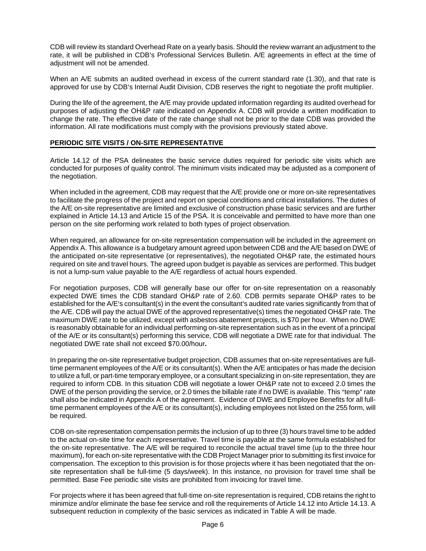CDB will review its standard Overhead Rate on a yearly basis. Should the review warrant an adjustment to the rate, it will be published in CDB's Professional Services Bulletin. A/E agreements in effect at the time of adjustment will not be amended.

When an A/E submits an audited overhead in excess of the current standard rate (1.30), and that rate is approved for use by CDB's Internal Audit Division, CDB reserves the right to negotiate the profit multiplier.

During the life of the agreement, the A/E may provide updated information regarding its audited overhead for purposes of adjusting the OH&P rate indicated on Appendix A. CDB will provide a written modification to change the rate. The effective date of the rate change shall not be prior to the date CDB was provided the information. All rate modifications must comply with the provisions previously stated above.

#### **PERIODIC SITE VISITS / ON-SITE REPRESENTATIVE**

Article 14.12 of the PSA delineates the basic service duties required for periodic site visits which are conducted for purposes of quality control. The minimum visits indicated may be adjusted as a component of the negotiation.

When included in the agreement, CDB may request that the A/E provide one or more on-site representatives to facilitate the progress of the project and report on special conditions and critical installations. The duties of the A/E on-site representative are limited and exclusive of construction phase basic services and are further explained in Article 14.13 and Article 15 of the PSA. It is conceivable and permitted to have more than one person on the site performing work related to both types of project observation.

When required, an allowance for on-site representation compensation will be included in the agreement on Appendix A. This allowance is a budgetary amount agreed upon between CDB and the A/E based on DWE of the anticipated on-site representative (or representatives), the negotiated OH&P rate, the estimated hours required on site and travel hours. The agreed upon budget is payable as services are performed. This budget is not a lump-sum value payable to the A/E regardless of actual hours expended.

For negotiation purposes, CDB will generally base our offer for on-site representation on a reasonably expected DWE times the CDB standard OH&P rate of 2.60. CDB permits separate OH&P rates to be established for the A/E's consultant(s) in the event the consultant's audited rate varies significantly from that of the A/E. CDB will pay the actual DWE of the approved representative(s) times the negotiated OH&P rate. The maximum DWE rate to be utilized, except with asbestos abatement projects, is \$70 per hour. When no DWE is reasonably obtainable for an individual performing on-site representation such as in the event of a principal of the A/E or its consultant(s) performing this service, CDB will negotiate a DWE rate for that individual. The negotiated DWE rate shall not exceed \$70.00/hour**.**

In preparing the on-site representative budget projection, CDB assumes that on-site representatives are fulltime permanent employees of the A/E or its consultant(s). When the A/E anticipates or has made the decision to utilize a full, or part-time temporary employee, or a consultant specializing in on-site representation, they are required to inform CDB. In this situation CDB will negotiate a lower OH&P rate not to exceed 2.0 times the DWE of the person providing the service, or 2.0 times the billable rate if no DWE is available. This "temp" rate shall also be indicated in Appendix A of the agreement. Evidence of DWE and Employee Benefits for all fulltime permanent employees of the A/E or its consultant(s), including employees not listed on the 255 form, will be required.

CDB on-site representation compensation permits the inclusion of up to three (3) hours travel time to be added to the actual on-site time for each representative. Travel time is payable at the same formula established for the on-site representative. The A/E will be required to reconcile the actual travel time (up to the three hour maximum), for each on-site representative with the CDB Project Manager prior to submitting its first invoice for compensation. The exception to this provision is for those projects where it has been negotiated that the onsite representation shall be full-time (5 days/week). In this instance, no provision for travel time shall be permitted. Base Fee periodic site visits are prohibited from invoicing for travel time.

For projects where it has been agreed that full-time on-site representation is required, CDB retains the right to minimize and/or eliminate the base fee service and roll the requirements of Article 14.12 into Article 14.13. A subsequent reduction in complexity of the basic services as indicated in Table A will be made.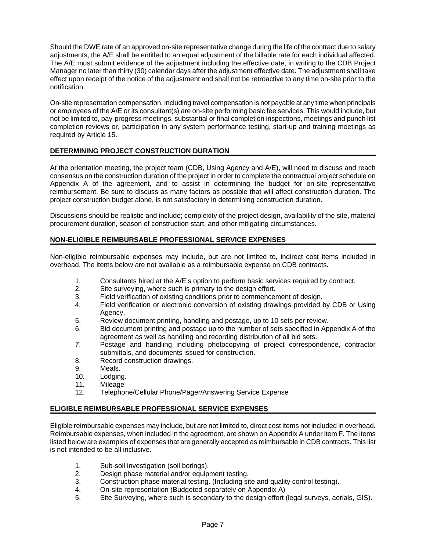Should the DWE rate of an approved on-site representative change during the life of the contract due to salary adjustments, the A/E shall be entitled to an equal adjustment of the billable rate for each individual affected. The A/E must submit evidence of the adjustment including the effective date, in writing to the CDB Project Manager no later than thirty (30) calendar days after the adjustment effective date. The adjustment shall take effect upon receipt of the notice of the adjustment and shall not be retroactive to any time on-site prior to the notification.

On-site representation compensation, including travel compensation is not payable at any time when principals or employees of the A/E or its consultant(s) are on-site performing basic fee services. This would include, but not be limited to, pay-progress meetings, substantial or final completion inspections, meetings and punch list completion reviews or, participation in any system performance testing, start-up and training meetings as required by Article 15.

#### **DETERMINING PROJECT CONSTRUCTION DURATION**

At the orientation meeting, the project team (CDB, Using Agency and A/E), will need to discuss and reach consensus on the construction duration of the project in order to complete the contractual project schedule on Appendix A of the agreement, and to assist in determining the budget for on-site representative reimbursement. Be sure to discuss as many factors as possible that will affect construction duration. The project construction budget alone, is not satisfactory in determining construction duration.

Discussions should be realistic and include; complexity of the project design, availability of the site, material procurement duration, season of construction start, and other mitigating circumstances.

#### **NON-ELIGIBLE REIMBURSABLE PROFESSIONAL SERVICE EXPENSES**

Non-eligible reimbursable expenses may include, but are not limited to, indirect cost items included in overhead. The items below are not available as a reimbursable expense on CDB contracts.

- 1. Consultants hired at the A/E's option to perform basic services required by contract.
- 2. Site surveying, where such is primary to the design effort.
- 3. Field verification of existing conditions prior to commencement of design.
- 4. Field verification or electronic conversion of existing drawings provided by CDB or Using Agency.
- 5. Review document printing, handling and postage, up to 10 sets per review.
- 6. Bid document printing and postage up to the number of sets specified in Appendix A of the agreement as well as handling and recording distribution of all bid sets.
- 7. Postage and handling including photocopying of project correspondence, contractor submittals, and documents issued for construction.
- 8. Record construction drawings.
- 9. Meals.
- 10. Lodging.
- 11. Mileage
- 12. Telephone/Cellular Phone/Pager/Answering Service Expense

#### **ELIGIBLE REIMBURSABLE PROFESSIONAL SERVICE EXPENSES**

Eligible reimbursable expenses may include, but are not limited to, direct cost items not included in overhead. Reimbursable expenses, when included in the agreement, are shown on Appendix A under item F. The items listed below are examples of expenses that are generally accepted as reimbursable in CDB contracts. This list is not intended to be all inclusive.

- 1. Sub-soil investigation (soil borings).
- 2. Design phase material and/or equipment testing.
- 3. Construction phase material testing. (Including site and quality control testing).
- 4. On-site representation (Budgeted separately on Appendix A)
- 5. Site Surveying, where such is secondary to the design effort (legal surveys, aerials, GIS).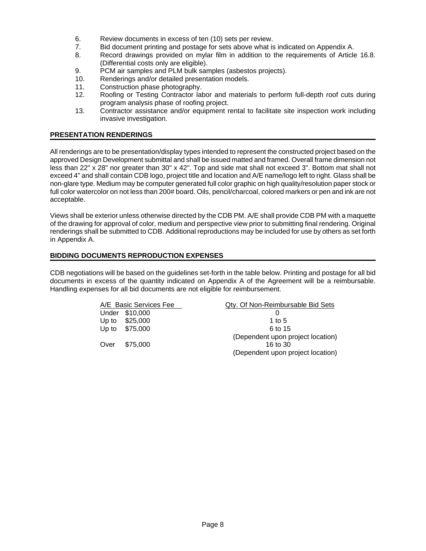- 6. Review documents in excess of ten (10) sets per review.
- 7. Bid document printing and postage for sets above what is indicated on Appendix A.
- 8. Record drawings provided on mylar film in addition to the requirements of Article 16.8. (Differential costs only are eligible).
- 9. PCM air samples and PLM bulk samples (asbestos projects).
- 10. Renderings and/or detailed presentation models.
- 11. Construction phase photography.
- 12. Roofing or Testing Contractor labor and materials to perform full-depth roof cuts during program analysis phase of roofing project.
- 13. Contractor assistance and/or equipment rental to facilitate site inspection work including invasive investigation.

#### **PRESENTATION RENDERINGS**

All renderings are to be presentation/display types intended to represent the constructed project based on the approved Design Development submittal and shall be issued matted and framed. Overall frame dimension not less than 22" x 28" nor greater than 30" x 42". Top and side mat shall not exceed 3". Bottom mat shall not exceed 4" and shall contain CDB logo, project title and location and A/E name/logo left to right. Glass shall be non-glare type. Medium may be computer generated full color graphic on high quality/resolution paper stock or full color watercolor on not less than 200# board. Oils, pencil/charcoal, colored markers or pen and ink are not acceptable.

Views shall be exterior unless otherwise directed by the CDB PM. A/E shall provide CDB PM with a maquette of the drawing for approval of color, medium and perspective view prior to submitting final rendering. Original renderings shall be submitted to CDB. Additional reproductions may be included for use by others as set forth in Appendix A.

#### **BIDDING DOCUMENTS REPRODUCTION EXPENSES**

CDB negotiations will be based on the guidelines set-forth in the table below. Printing and postage for all bid documents in excess of the quantity indicated on Appendix A of the Agreement will be a reimbursable. Handling expenses for all bid documents are not eligible for reimbursement.

|       | A/E Basic Services Fee | Qty. Of Non-Reimbursable Bid Sets |
|-------|------------------------|-----------------------------------|
|       | Under \$10,000         |                                   |
| Up to | \$25,000               | 1 to 5                            |
| Up to | \$75.000               | 6 to 15                           |
|       |                        | (Dependent upon project location) |
| Over  | \$75,000               | 16 to 30                          |
|       |                        | (Dependent upon project location) |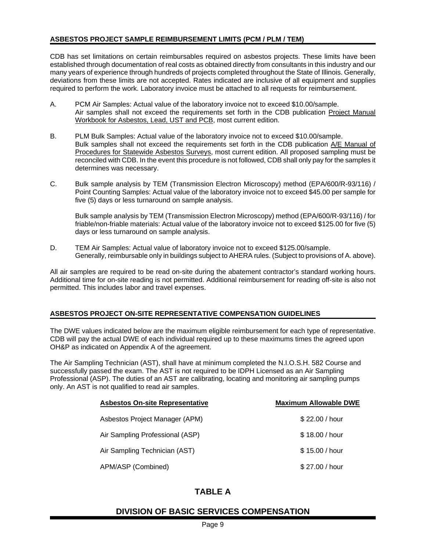#### **ASBESTOS PROJECT SAMPLE REIMBURSEMENT LIMITS (PCM / PLM / TEM)**

CDB has set limitations on certain reimbursables required on asbestos projects. These limits have been established through documentation of real costs as obtained directly from consultants in this industry and our many years of experience through hundreds of projects completed throughout the State of Illinois. Generally, deviations from these limits are not accepted. Rates indicated are inclusive of all equipment and supplies required to perform the work. Laboratory invoice must be attached to all requests for reimbursement.

- A. PCM Air Samples: Actual value of the laboratory invoice not to exceed \$10.00/sample. Air samples shall not exceed the requirements set forth in the CDB publication Project Manual Workbook for Asbestos, Lead, UST and PCB, most current edition.
- B. PLM Bulk Samples: Actual value of the laboratory invoice not to exceed \$10.00/sample. Bulk samples shall not exceed the requirements set forth in the CDB publication A/E Manual of Procedures for Statewide Asbestos Surveys, most current edition. All proposed sampling must be reconciled with CDB. In the event this procedure is not followed, CDB shall only pay for the samples it determines was necessary.
- C. Bulk sample analysis by TEM (Transmission Electron Microscopy) method (EPA/600/R-93/116) / Point Counting Samples: Actual value of the laboratory invoice not to exceed \$45.00 per sample for five (5) days or less turnaround on sample analysis.

Bulk sample analysis by TEM (Transmission Electron Microscopy) method (EPA/600/R-93/116) / for friable/non-friable materials: Actual value of the laboratory invoice not to exceed \$125.00 for five (5) days or less turnaround on sample analysis.

D. TEM Air Samples: Actual value of laboratory invoice not to exceed \$125.00/sample. Generally, reimbursable only in buildings subject to AHERA rules. (Subject to provisions of A. above).

All air samples are required to be read on-site during the abatement contractor's standard working hours. Additional time for on-site reading is not permitted. Additional reimbursement for reading off-site is also not permitted. This includes labor and travel expenses.

#### **ASBESTOS PROJECT ON-SITE REPRESENTATIVE COMPENSATION GUIDELINES**

The DWE values indicated below are the maximum eligible reimbursement for each type of representative. CDB will pay the actual DWE of each individual required up to these maximums times the agreed upon OH&P as indicated on Appendix A of the agreement.

The Air Sampling Technician (AST), shall have at minimum completed the N.I.O.S.H. 582 Course and successfully passed the exam. The AST is not required to be IDPH Licensed as an Air Sampling Professional (ASP). The duties of an AST are calibrating, locating and monitoring air sampling pumps only. An AST is not qualified to read air samples.

| <b>Asbestos On-site Representative</b> | <b>Maximum Allowable DWE</b> |
|----------------------------------------|------------------------------|
| Asbestos Project Manager (APM)         | \$22.00 / hour               |
| Air Sampling Professional (ASP)        | \$18,00 / hour               |
| Air Sampling Technician (AST)          | \$15.00 / hour               |
| APM/ASP (Combined)                     | \$27.00 / hour               |

## **TABLE A**

## **DIVISION OF BASIC SERVICES COMPENSATION**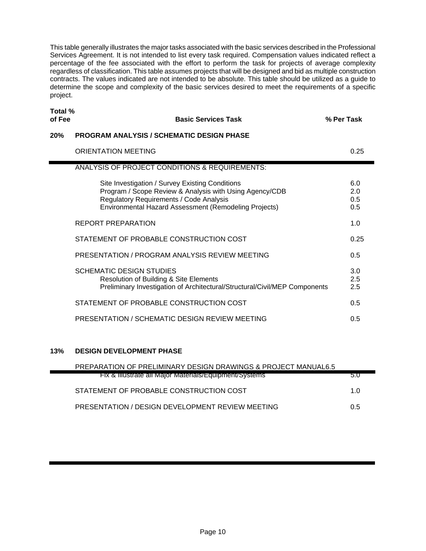This table generally illustrates the major tasks associated with the basic services described in the Professional Services Agreement. It is not intended to list every task required. Compensation values indicated reflect a percentage of the fee associated with the effort to perform the task for projects of average complexity regardless of classification. This table assumes projects that will be designed and bid as multiple construction contracts. The values indicated are not intended to be absolute. This table should be utilized as a guide to determine the scope and complexity of the basic services desired to meet the requirements of a specific project.

**Total % of Fee Basic Services Task % Per Task 20% PROGRAM ANALYSIS / SCHEMATIC DESIGN PHASE**  ORIENTATION MEETING 6.25 ANALYSIS OF PROJECT CONDITIONS & REQUIREMENTS: Site Investigation / Survey Existing Conditions 6.0 Program / Scope Review & Analysis with Using Agency/CDB 2.0 Regulatory Requirements / Code Analysis 0.5 Environmental Hazard Assessment (Remodeling Projects) 0.5 REPORT PREPARATION 1.0 STATEMENT OF PROBABLE CONSTRUCTION COST  $0.25$ PRESENTATION / PROGRAM ANALYSIS REVIEW MEETING  $1.5$ SCHEMATIC DESIGN STUDIES 3.0 Resolution of Building & Site Elements 2.5 Preliminary Investigation of Architectural/Structural/Civil/MEP Components 2.5 STATEMENT OF PROBABLE CONSTRUCTION COST  $0.5$ PRESENTATION / SCHEMATIC DESIGN REVIEW MEETING  $1.5$ 

#### **13% DESIGN DEVELOPMENT PHASE**

| <b>PREPARATION OF PRELIMINARY DESIGN DRAWINGS &amp; PROJECT MANUAL6.5</b> |     |
|---------------------------------------------------------------------------|-----|
| <b>FIX &amp; Illustrate all Major Materials/Equipment/Systems</b>         | 5.U |
| STATEMENT OF PROBABLE CONSTRUCTION COST                                   | 1.0 |
| PRESENTATION / DESIGN DEVELOPMENT REVIEW MEETING                          | 0.5 |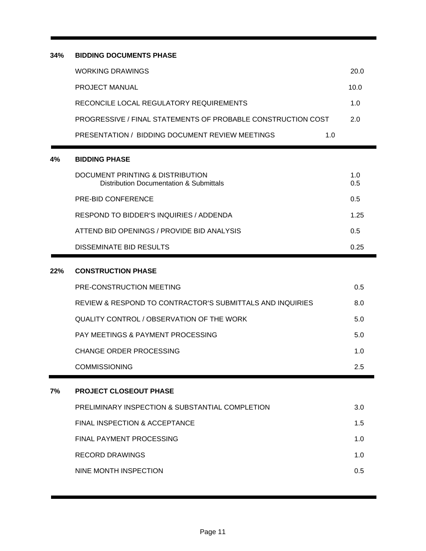## **34% BIDDING DOCUMENTS PHASE**

| WORKING DRAWINGS                                             |     | 20.0        |
|--------------------------------------------------------------|-----|-------------|
| <b>PROJECT MANUAL</b>                                        |     | 10.0        |
| RECONCILE LOCAL REGULATORY REQUIREMENTS                      |     | 1. $\Omega$ |
| PROGRESSIVE / FINAL STATEMENTS OF PROBABLE CONSTRUCTION COST |     | 2.0         |
| PRESENTATION / BIDDING DOCUMENT REVIEW MEETINGS              | 1.0 |             |

## **4% BIDDING PHASE**

| DOCUMENT PRINTING & DISTRIBUTION<br>Distribution Documentation & Submittals | 1.0<br>0.5 |
|-----------------------------------------------------------------------------|------------|
| PRE-BID CONFERENCE                                                          | 0.5        |
| RESPOND TO BIDDER'S INQUIRIES / ADDENDA                                     | 1 25       |
| ATTEND BID OPENINGS / PROVIDE BID ANALYSIS                                  | 0.5        |
| DISSEMINATE BID RESULTS                                                     | O 25       |

#### **22% CONSTRUCTION PHASE**

| BRAIFAT ALASFAUT BUASE                                    |     |
|-----------------------------------------------------------|-----|
| <b>COMMISSIONING</b>                                      | 2.5 |
| CHANGE ORDER PROCESSING                                   | 1.0 |
| <b>PAY MEETINGS &amp; PAYMENT PROCESSING</b>              | 5.0 |
| QUALITY CONTROL / OBSERVATION OF THE WORK                 | 5.0 |
| REVIEW & RESPOND TO CONTRACTOR'S SUBMITTALS AND INQUIRIES | 8.0 |
| PRE-CONSTRUCTION MEETING                                  | 0.5 |

## **7% PROJECT CLOSEOUT PHASE**

| PRELIMINARY INSPECTION & SUBSTANTIAL COMPLETION | 3.0         |
|-------------------------------------------------|-------------|
| FINAL INSPECTION & ACCEPTANCE                   | 1.5         |
| FINAL PAYMENT PROCESSING                        | 1. $\Omega$ |
| RECORD DRAWINGS                                 | 1. $\Omega$ |
| NINE MONTH INSPECTION                           | 0.5         |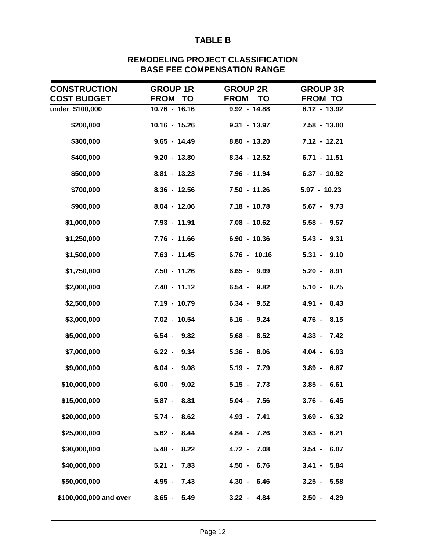# **TABLE B**

| <b>CONSTRUCTION</b>    | <b>GROUP 1R</b>  | <b>GROUP 2R</b>          | <b>GROUP 3R</b>  |
|------------------------|------------------|--------------------------|------------------|
| <b>COST BUDGET</b>     | FROM TO          | <b>FROM</b><br><b>TO</b> | <b>FROM TO</b>   |
| under \$100,000        | $10.76 - 16.16$  | $9.92 - 14.88$           | $8.12 - 13.92$   |
| \$200,000              | $10.16 - 15.26$  | $9.31 - 13.97$           | $7.58 - 13.00$   |
| \$300,000              | $9.65 - 14.49$   | $8.80 - 13.20$           | 7.12 - 12.21     |
| \$400,000              | $9.20 - 13.80$   | $8.34 - 12.52$           | $6.71 - 11.51$   |
| \$500,000              | $8.81 - 13.23$   | 7.96 - 11.94             | $6.37 - 10.92$   |
| \$700,000              | $8.36 - 12.56$   | $7.50 - 11.26$           | $5.97 - 10.23$   |
| \$900,000              | $8.04 - 12.06$   | $7.18 - 10.78$           | $5.67 - 9.73$    |
| \$1,000,000            | 7.93 - 11.91     | 7.08 - 10.62             | $5.58 - 9.57$    |
| \$1,250,000            | $7.76 - 11.66$   | $6.90 - 10.36$           | $5.43 - 9.31$    |
| \$1,500,000            | $7.63 - 11.45$   | $6.76 - 10.16$           | $5.31 - 9.10$    |
| \$1,750,000            | $7.50 - 11.26$   | $6.65 - 9.99$            | $5.20 - 8.91$    |
| \$2,000,000            | 7.40 - 11.12     | $6.54 -$<br>9.82         | $5.10 - 8.75$    |
| \$2,500,000            | 7.19 - 10.79     | $6.34 -$<br>9.52         | 4.91 - 8.43      |
| \$3,000,000            | 7.02 - 10.54     | $6.16 - 9.24$            | $4.76 -$<br>8.15 |
| \$5,000,000            | $6.54 - 9.82$    | $5.68 -$<br>8.52         | $4.33 -$<br>7.42 |
| \$7,000,000            | $6.22 - 9.34$    | $5.36 -$<br>8.06         | $4.04 -$<br>6.93 |
| \$9,000,000            | $6.04 -$<br>9.08 | $5.19 -$<br>7.79         | $3.89 -$<br>6.67 |
| \$10,000,000           | $6.00 -$<br>9.02 | $5.15 -$<br>7.73         | $3.85 -$<br>6.61 |
| \$15,000,000           | $5.87 - 8.81$    | $5.04 -$<br>7.56         | $3.76 - 6.45$    |
| \$20,000,000           | 8.62<br>$5.74 -$ | $4.93 -$<br>7.41         | $3.69 - 6.32$    |
| \$25,000,000           | $5.62 -$<br>8.44 | $4.84 -$<br>7.26         | $3.63 - 6.21$    |
| \$30,000,000           | $5.48 -$<br>8.22 | $4.72 -$<br>7.08         | $3.54 -$<br>6.07 |
| \$40,000,000           | $5.21 -$<br>7.83 | $4.50 -$<br>6.76         | $3.41 -$<br>5.84 |
| \$50,000,000           | $4.95 -$<br>7.43 | $4.30 -$<br>6.46         | $3.25 -$<br>5.58 |
| \$100,000,000 and over | $3.65 -$<br>5.49 | $3.22 -$<br>4.84         | $2.50 - 4.29$    |

## **REMODELING PROJECT CLASSIFICATION BASE FEE COMPENSATION RANGE**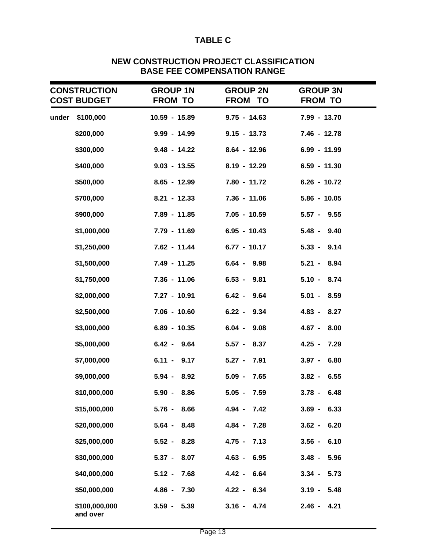# **TABLE C**

|       | <b>CONSTRUCTION</b><br><b>COST BUDGET</b> | <b>GROUP 1N</b><br><b>FROM TO</b> | <b>GROUP 2N</b><br><b>FROM TO</b> | <b>GROUP 3N</b><br><b>FROM TO</b> |  |
|-------|-------------------------------------------|-----------------------------------|-----------------------------------|-----------------------------------|--|
| under | \$100,000                                 | 10.59 - 15.89                     | $9.75 - 14.63$                    | 7.99 - 13.70                      |  |
|       | \$200,000                                 | $9.99 - 14.99$                    | $9.15 - 13.73$                    | 7.46 - 12.78                      |  |
|       | \$300,000                                 | $9.48 - 14.22$                    | $8.64 - 12.96$                    | 6.99 - 11.99                      |  |
|       | \$400,000                                 | $9.03 - 13.55$                    | $8.19 - 12.29$                    | $6.59 - 11.30$                    |  |
|       | \$500,000                                 | $8.65 - 12.99$                    | 7.80 - 11.72                      | $6.26 - 10.72$                    |  |
|       | \$700,000                                 | $8.21 - 12.33$                    | $7.36 - 11.06$                    | $5.86 - 10.05$                    |  |
|       | \$900,000                                 | 7.89 - 11.85                      | $7.05 - 10.59$                    | $5.57 - 9.55$                     |  |
|       | \$1,000,000                               | 7.79 - 11.69                      | $6.95 - 10.43$                    | $5.48 -$<br>9.40                  |  |
|       | \$1,250,000                               | 7.62 - 11.44                      | $6.77 - 10.17$                    | $5.33 -$<br>9.14                  |  |
|       | \$1,500,000                               | 7.49 - 11.25                      | $6.64 - 9.98$                     | $5.21 - 8.94$                     |  |
|       | \$1,750,000                               | 7.36 - 11.06                      | $6.53 - 9.81$                     | $5.10 - 8.74$                     |  |
|       | \$2,000,000                               | 7.27 - 10.91                      | $6.42 -$<br>9.64                  | $5.01 -$<br>8.59                  |  |
|       | \$2,500,000                               | 7.06 - 10.60                      | $6.22 - 9.34$                     | 4.83 - 8.27                       |  |
|       | \$3,000,000                               | 6.89 - 10.35                      | $6.04 -$<br>9.08                  | $4.67 - 8.00$                     |  |
|       | \$5,000,000                               | $6.42 - 9.64$                     | $5.57 - 8.37$                     | $4.25 -$<br>7.29                  |  |
|       | \$7,000,000                               | $6.11 -$<br>9.17                  | $5.27 - 7.91$                     | $3.97 -$<br>6.80                  |  |
|       | \$9,000,000                               | $5.94 -$<br>8.92                  | $5.09 - 7.65$                     | $3.82 -$<br>6.55                  |  |
|       | \$10,000,000                              | $5.90 -$<br>8.86                  | $5.05 -$<br>7.59                  | $3.78 -$<br>6.48                  |  |
|       | \$15,000,000                              | $5.76 -$<br>8.66                  | $4.94 -$<br>7.42                  | 6.33<br>$3.69 -$                  |  |
|       | \$20,000,000                              | $5.64 -$<br>8.48                  | $4.84 -$<br>7.28                  | 6.20<br>$3.62 -$                  |  |
|       | \$25,000,000                              | $5.52 -$<br>8.28                  | $4.75 -$<br>7.13                  | 6.10<br>$3.56 -$                  |  |
|       | \$30,000,000                              | 8.07<br>$5.37 -$                  | $4.63 -$<br>6.95                  | $3.48 -$<br>5.96                  |  |
|       | \$40,000,000                              | $5.12 -$<br>7.68                  | $4.42 -$<br>6.64                  | 5.73<br>$3.34 -$                  |  |
|       | \$50,000,000                              | $4.86 -$<br>7.30                  | 4.22 - 6.34                       | $3.19 -$<br>5.48                  |  |
|       | \$100,000,000<br>and over                 | $3.59 -$<br>5.39                  | $3.16 -$<br>4.74                  | $2.46 -$<br>4.21                  |  |

# **NEW CONSTRUCTION PROJECT CLASSIFICATION BASE FEE COMPENSATION RANGE**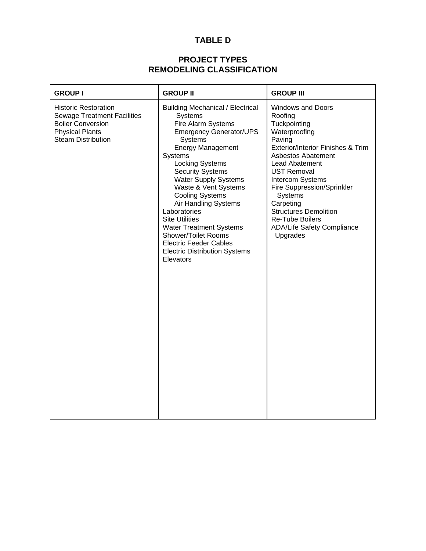# **TABLE D**

# **PROJECT TYPES REMODELING CLASSIFICATION**

| <b>GROUP I</b>                                                                                                                                       | <b>GROUP II</b>                                                                                                                                                                                                                                                                                                                                                                                                                                                                                                           | <b>GROUP III</b>                                                                                                                                                                                                                                                                                                                                                       |
|------------------------------------------------------------------------------------------------------------------------------------------------------|---------------------------------------------------------------------------------------------------------------------------------------------------------------------------------------------------------------------------------------------------------------------------------------------------------------------------------------------------------------------------------------------------------------------------------------------------------------------------------------------------------------------------|------------------------------------------------------------------------------------------------------------------------------------------------------------------------------------------------------------------------------------------------------------------------------------------------------------------------------------------------------------------------|
| <b>Historic Restoration</b><br><b>Sewage Treatment Facilities</b><br><b>Boiler Conversion</b><br><b>Physical Plants</b><br><b>Steam Distribution</b> | <b>Building Mechanical / Electrical</b><br>Systems<br>Fire Alarm Systems<br><b>Emergency Generator/UPS</b><br>Systems<br><b>Energy Management</b><br>Systems<br><b>Locking Systems</b><br><b>Security Systems</b><br><b>Water Supply Systems</b><br>Waste & Vent Systems<br><b>Cooling Systems</b><br>Air Handling Systems<br>Laboratories<br><b>Site Utilities</b><br><b>Water Treatment Systems</b><br><b>Shower/Toilet Rooms</b><br><b>Electric Feeder Cables</b><br><b>Electric Distribution Systems</b><br>Elevators | <b>Windows and Doors</b><br>Roofing<br>Tuckpointing<br>Waterproofing<br>Paving<br>Exterior/Interior Finishes & Trim<br>Asbestos Abatement<br>Lead Abatement<br><b>UST Removal</b><br>Intercom Systems<br>Fire Suppression/Sprinkler<br>Systems<br>Carpeting<br><b>Structures Demolition</b><br><b>Re-Tube Boilers</b><br><b>ADA/Life Safety Compliance</b><br>Upgrades |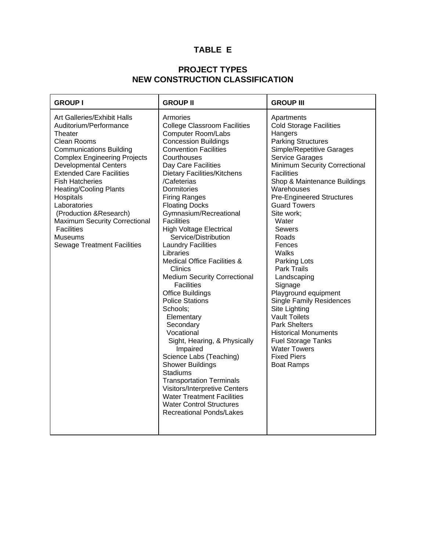# **TABLE E**

## **PROJECT TYPES NEW CONSTRUCTION CLASSIFICATION**

| <b>GROUP I</b>                                                                                                                                                                                                                                                                                                                                                                                                                                               | <b>GROUP II</b>                                                                                                                                                                                                                                                                                                                                                                                                                                                                                                                                                                                                                                                                                                                                                                                                                                                                                                                                                                   | <b>GROUP III</b>                                                                                                                                                                                                                                                                                                                                                                                                                                                                                                                                                                                                                                                                                  |
|--------------------------------------------------------------------------------------------------------------------------------------------------------------------------------------------------------------------------------------------------------------------------------------------------------------------------------------------------------------------------------------------------------------------------------------------------------------|-----------------------------------------------------------------------------------------------------------------------------------------------------------------------------------------------------------------------------------------------------------------------------------------------------------------------------------------------------------------------------------------------------------------------------------------------------------------------------------------------------------------------------------------------------------------------------------------------------------------------------------------------------------------------------------------------------------------------------------------------------------------------------------------------------------------------------------------------------------------------------------------------------------------------------------------------------------------------------------|---------------------------------------------------------------------------------------------------------------------------------------------------------------------------------------------------------------------------------------------------------------------------------------------------------------------------------------------------------------------------------------------------------------------------------------------------------------------------------------------------------------------------------------------------------------------------------------------------------------------------------------------------------------------------------------------------|
| Art Galleries/Exhibit Halls<br>Auditorium/Performance<br>Theater<br>Clean Rooms<br><b>Communications Building</b><br><b>Complex Engineering Projects</b><br><b>Developmental Centers</b><br><b>Extended Care Facilities</b><br><b>Fish Hatcheries</b><br><b>Heating/Cooling Plants</b><br>Hospitals<br>Laboratories<br>(Production & Research)<br><b>Maximum Security Correctional</b><br><b>Facilities</b><br>Museums<br><b>Sewage Treatment Facilities</b> | Armories<br><b>College Classroom Facilities</b><br>Computer Room/Labs<br><b>Concession Buildings</b><br><b>Convention Facilities</b><br>Courthouses<br>Day Care Facilities<br><b>Dietary Facilities/Kitchens</b><br>/Cafeterias<br>Dormitories<br><b>Firing Ranges</b><br><b>Floating Docks</b><br>Gymnasium/Recreational<br><b>Facilities</b><br><b>High Voltage Electrical</b><br>Service/Distribution<br><b>Laundry Facilities</b><br>Libraries<br><b>Medical Office Facilities &amp;</b><br>Clinics<br><b>Medium Security Correctional</b><br><b>Facilities</b><br><b>Office Buildings</b><br><b>Police Stations</b><br>Schools;<br>Elementary<br>Secondary<br>Vocational<br>Sight, Hearing, & Physically<br>Impaired<br>Science Labs (Teaching)<br><b>Shower Buildings</b><br><b>Stadiums</b><br><b>Transportation Terminals</b><br>Visitors/Interpretive Centers<br><b>Water Treatment Facilities</b><br><b>Water Control Structures</b><br><b>Recreational Ponds/Lakes</b> | Apartments<br><b>Cold Storage Facilities</b><br>Hangers<br><b>Parking Structures</b><br>Simple/Repetitive Garages<br><b>Service Garages</b><br>Minimum Security Correctional<br><b>Facilities</b><br>Shop & Maintenance Buildings<br>Warehouses<br><b>Pre-Engineered Structures</b><br><b>Guard Towers</b><br>Site work;<br>Water<br>Sewers<br>Roads<br>Fences<br>Walks<br>Parking Lots<br><b>Park Trails</b><br>Landscaping<br>Signage<br>Playground equipment<br><b>Single Family Residences</b><br>Site Lighting<br><b>Vault Toilets</b><br><b>Park Shelters</b><br><b>Historical Monuments</b><br><b>Fuel Storage Tanks</b><br><b>Water Towers</b><br><b>Fixed Piers</b><br><b>Boat Ramps</b> |